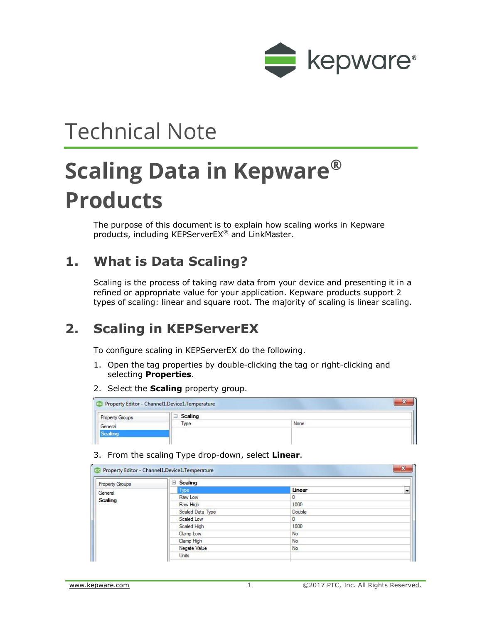

# Technical Note

# **Scaling Data in Kepware® Products**

The purpose of this document is to explain how scaling works in Kepware products, including KEPServerEX® and LinkMaster.

# **1. What is Data Scaling?**

Scaling is the process of taking raw data from your device and presenting it in a refined or appropriate value for your application. Kepware products support 2 types of scaling: linear and square root. The majority of scaling is linear scaling.

# **2. Scaling in KEPServerEX**

To configure scaling in KEPServerEX do the following.

- 1. Open the tag properties by double-clicking the tag or right-clicking and selecting **Properties**.
- 2. Select the **Scaling** property group.

|                        | Property Editor - Channel1.Device1.Temperature | CVD<br>$\sim$ |
|------------------------|------------------------------------------------|---------------|
| <b>Property Groups</b> | $\Box$ Scaling                                 |               |
| General                | Type                                           | None          |
|                        |                                                |               |
|                        |                                                |               |

3. From the scaling Type drop-down, select **Linear**.

| <b>Property Groups</b> | Scaling          |        |  |
|------------------------|------------------|--------|--|
| General                | Type             | Linear |  |
| Scaling                | Raw Low          | 0      |  |
|                        | Raw High         | 1000   |  |
|                        | Scaled Data Type | Double |  |
|                        | Scaled Low       | 0      |  |
|                        | Scaled High      | 1000   |  |
|                        | Clamp Low        | No     |  |
|                        | Clamp High       | No.    |  |
|                        | Negate Value     | No     |  |
|                        | Units            |        |  |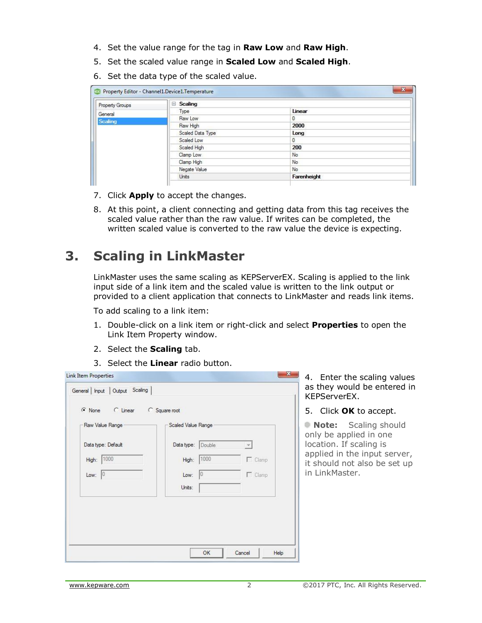- 4. Set the value range for the tag in **Raw Low** and **Raw High**.
- 5. Set the scaled value range in **Scaled Low** and **Scaled High**.
- 6. Set the data type of the scaled value.

| <b>Property Groups</b> | Scaling          |             |  |
|------------------------|------------------|-------------|--|
| General                | Type             | Linear      |  |
| <b>Scaling</b>         | Raw Low          | 0           |  |
|                        | Raw High         | 2000        |  |
|                        | Scaled Data Type | Long        |  |
|                        | Scaled Low       | 0           |  |
|                        | Scaled High      | 200         |  |
|                        | Clamp Low        | No          |  |
|                        | Clamp High       | No.         |  |
|                        | Negate Value     | No          |  |
|                        | <b>Units</b>     | Farenheight |  |

- 7. Click **Apply** to accept the changes.
- 8. At this point, a client connecting and getting data from this tag receives the scaled value rather than the raw value. If writes can be completed, the written scaled value is converted to the raw value the device is expecting.

# **3. Scaling in LinkMaster**

LinkMaster uses the same scaling as KEPServerEX. Scaling is applied to the link input side of a link item and the scaled value is written to the link output or provided to a client application that connects to LinkMaster and reads link items.

To add scaling to a link item:

- 1. Double-click on a link item or right-click and select **Properties** to open the Link Item Property window.
- 2. Select the **Scaling** tab.
- 3. Select the **Linear** radio button.

| Raw Value Range    | Scaled Value Range                      |                |
|--------------------|-----------------------------------------|----------------|
| Data type: Default | Data type: Double<br>$\bar{\mathbf{v}}$ |                |
| 1000<br>High:      | 1000<br>High:                           | $\Gamma$ Clamp |
| Low: $ 0 $         | 0<br>Low:                               | $\Gamma$ Clamp |
|                    | Units:                                  |                |

4. Enter the scaling values as they would be entered in KEPServerEX.

5. Click **OK** to accept.

**Note:** Scaling should only be applied in one location. If scaling is applied in the input server, it should not also be set up in LinkMaster.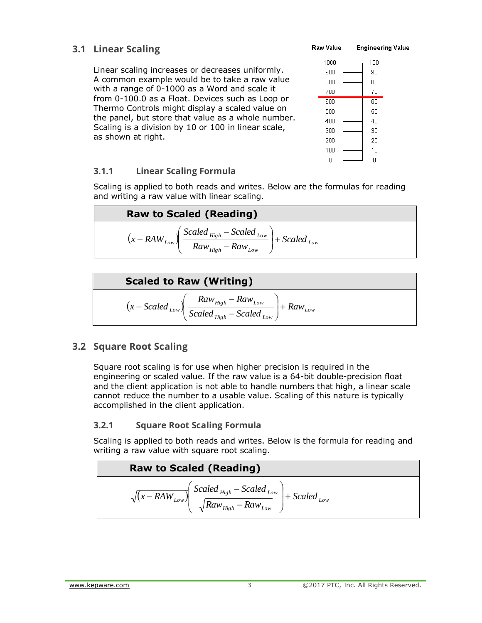## **3.1 Linear Scaling**

Linear scaling increases or decreases uniformly. A common example would be to take a raw value with a range of 0-1000 as a Word and scale it from 0-100.0 as a Float. Devices such as Loop or Thermo Controls might display a scaled value on the panel, but store that value as a whole number. Scaling is a division by 10 or 100 in linear scale, as shown at right.

#### Raw Value **Engineering Value**



### **3.1.1 Linear Scaling Formula**

Scaling is applied to both reads and writes. Below are the formulas for reading and writing a raw value with linear scaling.

| <b>Raw to Scaled (Reading)</b> |                                                                                                                     |
|--------------------------------|---------------------------------------------------------------------------------------------------------------------|
|                                | $\left(x - RAW_{Low}\right)\left(\frac{Scaled_{High} - Scaled_{Low}}{Raw_{High} - Raw_{Low}}\right) + Scaled_{Low}$ |

**Scaled to Raw (Writing)**  

$$
(x - Scaled_{Low}) \left( \frac{Raw_{High} - Raw_{Low}}{Scaled_{High} - Scaled_{Low}} \right) + Raw_{Low}
$$

### **3.2 Square Root Scaling**

Square root scaling is for use when higher precision is required in the engineering or scaled value. If the raw value is a 64-bit double-precision float and the client application is not able to handle numbers that high, a linear scale cannot reduce the number to a usable value. Scaling of this nature is typically accomplished in the client application.

### **3.2.1 Square Root Scaling Formula**

Scaling is applied to both reads and writes. Below is the formula for reading and writing a raw value with square root scaling.

**Raw to Scaled (Reading)**  
\n
$$
\sqrt{(x - RAW_{Low})}\left(\frac{Scaled_{High} - Scaled_{Low}}{\sqrt{Raw_{High} - Raw_{Low}}}\right) + Scaled_{Low}
$$